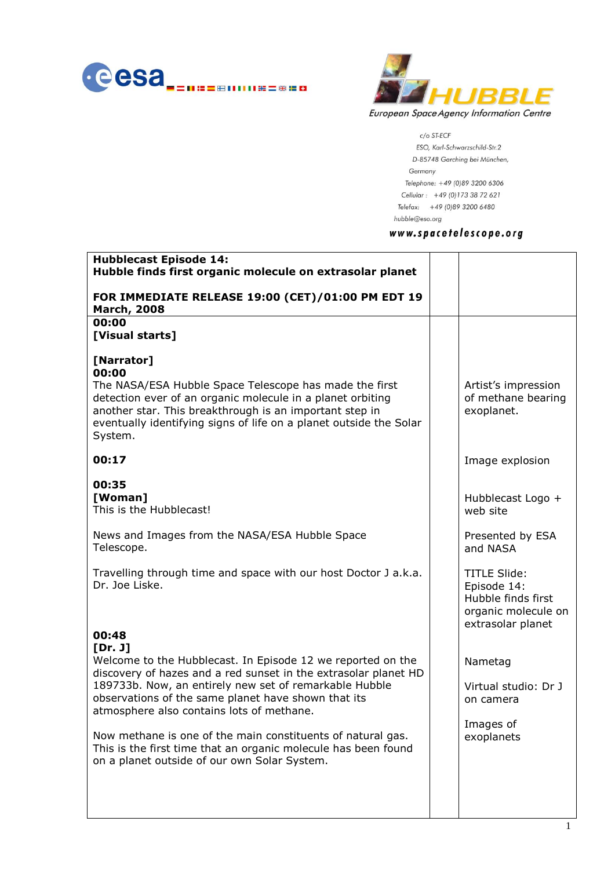



c/o ST-ECF ESO, Karl-Schwarzschild-Str.2 D-85748 Garching bei München, Germany Telephone: +49 (0)89 3200 6306 Cellular: +49 (0) 173 38 72 621 Telefax: +49 (0)89 3200 6480 hubble@eso.org

## www.spacetelescope.org

| <b>Hubblecast Episode 14:</b><br>Hubble finds first organic molecule on extrasolar planet                                                                                                                                                                                                                                                                                                                                                                                                |                                                                                                      |
|------------------------------------------------------------------------------------------------------------------------------------------------------------------------------------------------------------------------------------------------------------------------------------------------------------------------------------------------------------------------------------------------------------------------------------------------------------------------------------------|------------------------------------------------------------------------------------------------------|
| FOR IMMEDIATE RELEASE 19:00 (CET)/01:00 PM EDT 19<br><b>March, 2008</b>                                                                                                                                                                                                                                                                                                                                                                                                                  |                                                                                                      |
| 00:00<br>[Visual starts]                                                                                                                                                                                                                                                                                                                                                                                                                                                                 |                                                                                                      |
| [Narrator]<br>00:00<br>The NASA/ESA Hubble Space Telescope has made the first<br>detection ever of an organic molecule in a planet orbiting<br>another star. This breakthrough is an important step in<br>eventually identifying signs of life on a planet outside the Solar<br>System.                                                                                                                                                                                                  | Artist's impression<br>of methane bearing<br>exoplanet.                                              |
| 00:17                                                                                                                                                                                                                                                                                                                                                                                                                                                                                    | Image explosion                                                                                      |
| 00:35<br>[Woman]<br>This is the Hubblecast!                                                                                                                                                                                                                                                                                                                                                                                                                                              | Hubblecast Logo +<br>web site                                                                        |
| News and Images from the NASA/ESA Hubble Space<br>Telescope.                                                                                                                                                                                                                                                                                                                                                                                                                             | Presented by ESA<br>and NASA                                                                         |
| Travelling through time and space with our host Doctor J a.k.a.<br>Dr. Joe Liske.<br>00:48                                                                                                                                                                                                                                                                                                                                                                                               | <b>TITLE Slide:</b><br>Episode 14:<br>Hubble finds first<br>organic molecule on<br>extrasolar planet |
| [Dr. J]<br>Welcome to the Hubblecast. In Episode 12 we reported on the<br>discovery of hazes and a red sunset in the extrasolar planet HD<br>189733b. Now, an entirely new set of remarkable Hubble<br>observations of the same planet have shown that its<br>atmosphere also contains lots of methane.<br>Now methane is one of the main constituents of natural gas.<br>This is the first time that an organic molecule has been found<br>on a planet outside of our own Solar System. | Nametag<br>Virtual studio: Dr J<br>on camera<br>Images of<br>exoplanets                              |
|                                                                                                                                                                                                                                                                                                                                                                                                                                                                                          |                                                                                                      |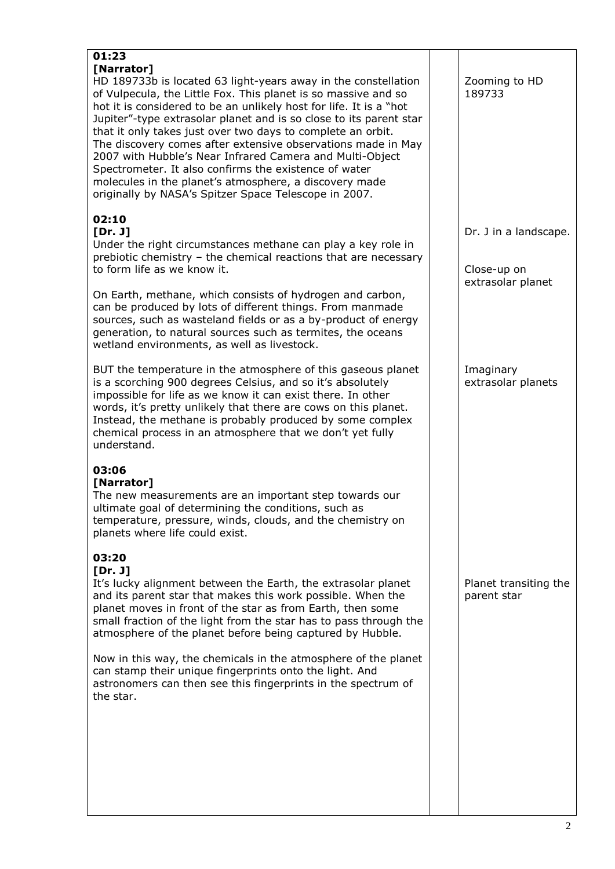| 01:23<br>[Narrator]<br>HD 189733b is located 63 light-years away in the constellation<br>of Vulpecula, the Little Fox. This planet is so massive and so<br>hot it is considered to be an unlikely host for life. It is a "hot<br>Jupiter"-type extrasolar planet and is so close to its parent star<br>that it only takes just over two days to complete an orbit.<br>The discovery comes after extensive observations made in May<br>2007 with Hubble's Near Infrared Camera and Multi-Object<br>Spectrometer. It also confirms the existence of water<br>molecules in the planet's atmosphere, a discovery made<br>originally by NASA's Spitzer Space Telescope in 2007. | Zooming to HD<br>189733              |
|----------------------------------------------------------------------------------------------------------------------------------------------------------------------------------------------------------------------------------------------------------------------------------------------------------------------------------------------------------------------------------------------------------------------------------------------------------------------------------------------------------------------------------------------------------------------------------------------------------------------------------------------------------------------------|--------------------------------------|
| 02:10<br>[Dr. J]<br>Under the right circumstances methane can play a key role in<br>prebiotic chemistry - the chemical reactions that are necessary<br>to form life as we know it.                                                                                                                                                                                                                                                                                                                                                                                                                                                                                         | Dr. J in a landscape.<br>Close-up on |
| On Earth, methane, which consists of hydrogen and carbon,<br>can be produced by lots of different things. From manmade<br>sources, such as wasteland fields or as a by-product of energy<br>generation, to natural sources such as termites, the oceans<br>wetland environments, as well as livestock.                                                                                                                                                                                                                                                                                                                                                                     | extrasolar planet                    |
| BUT the temperature in the atmosphere of this gaseous planet<br>is a scorching 900 degrees Celsius, and so it's absolutely<br>impossible for life as we know it can exist there. In other<br>words, it's pretty unlikely that there are cows on this planet.<br>Instead, the methane is probably produced by some complex<br>chemical process in an atmosphere that we don't yet fully<br>understand.                                                                                                                                                                                                                                                                      | Imaginary<br>extrasolar planets      |
| 03:06<br>[Narrator]<br>The new measurements are an important step towards our<br>ultimate goal of determining the conditions, such as<br>temperature, pressure, winds, clouds, and the chemistry on<br>planets where life could exist.                                                                                                                                                                                                                                                                                                                                                                                                                                     |                                      |
| 03:20<br>[Dr. J]<br>It's lucky alignment between the Earth, the extrasolar planet<br>and its parent star that makes this work possible. When the<br>planet moves in front of the star as from Earth, then some<br>small fraction of the light from the star has to pass through the<br>atmosphere of the planet before being captured by Hubble.                                                                                                                                                                                                                                                                                                                           | Planet transiting the<br>parent star |
| Now in this way, the chemicals in the atmosphere of the planet<br>can stamp their unique fingerprints onto the light. And<br>astronomers can then see this fingerprints in the spectrum of<br>the star.                                                                                                                                                                                                                                                                                                                                                                                                                                                                    |                                      |
|                                                                                                                                                                                                                                                                                                                                                                                                                                                                                                                                                                                                                                                                            |                                      |